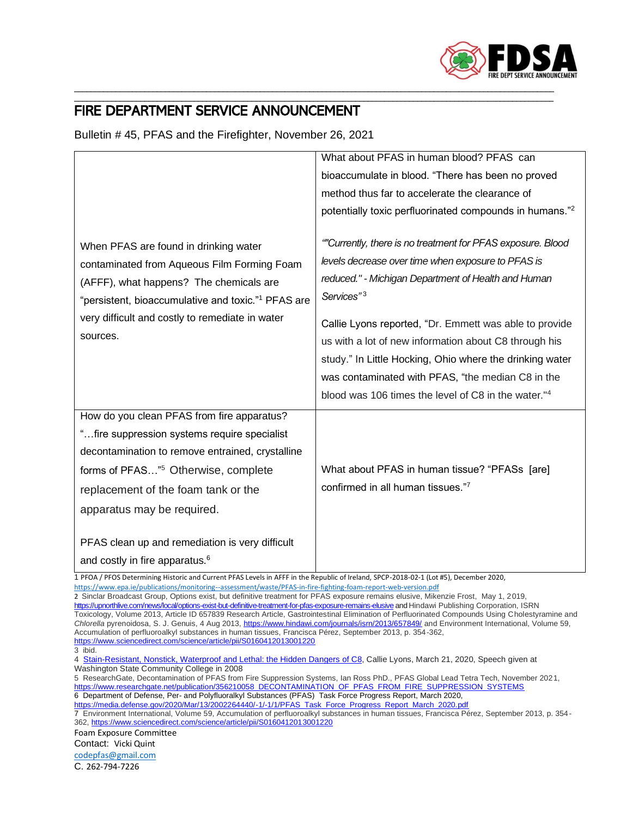

## \_\_\_\_\_\_\_\_\_\_\_\_\_\_\_\_\_\_\_\_\_\_\_\_\_\_\_\_\_\_\_\_\_\_\_\_\_\_\_\_\_\_\_\_\_\_\_\_\_\_\_\_\_\_\_\_\_\_\_\_\_\_\_\_\_\_\_\_\_\_\_\_\_\_\_\_\_\_\_\_\_\_\_\_\_\_\_\_\_\_\_\_\_\_\_\_\_\_\_\_\_\_\_\_\_\_\_\_\_\_\_\_\_\_\_\_ FIRE DEPARTMENT SERVICE ANNOUNCEMENT

Bulletin # 45, PFAS and the Firefighter, November 26, 2021

| When PFAS are found in drinking water<br>contaminated from Aqueous Film Forming Foam<br>(AFFF), what happens? The chemicals are<br>"persistent, bioaccumulative and toxic." <sup>1</sup> PFAS are                                                                      | What about PFAS in human blood? PFAS can<br>bioaccumulate in blood. "There has been no proved<br>method thus far to accelerate the clearance of<br>potentially toxic perfluorinated compounds in humans." <sup>2</sup><br>""Currently, there is no treatment for PFAS exposure. Blood<br>levels decrease over time when exposure to PFAS is<br>reduced." - Michigan Department of Health and Human<br>Services" <sup>3</sup> |
|------------------------------------------------------------------------------------------------------------------------------------------------------------------------------------------------------------------------------------------------------------------------|------------------------------------------------------------------------------------------------------------------------------------------------------------------------------------------------------------------------------------------------------------------------------------------------------------------------------------------------------------------------------------------------------------------------------|
| very difficult and costly to remediate in water<br>sources.                                                                                                                                                                                                            | Callie Lyons reported, "Dr. Emmett was able to provide<br>us with a lot of new information about C8 through his<br>study." In Little Hocking, Ohio where the drinking water<br>was contaminated with PFAS, "the median C8 in the<br>blood was 106 times the level of C8 in the water." <sup>4</sup>                                                                                                                          |
| How do you clean PFAS from fire apparatus?<br>"fire suppression systems require specialist<br>decontamination to remove entrained, crystalline<br>forms of PFAS" <sup>5</sup> Otherwise, complete<br>replacement of the foam tank or the<br>apparatus may be required. | What about PFAS in human tissue? "PFASs [are]<br>confirmed in all human tissues."7                                                                                                                                                                                                                                                                                                                                           |
| PFAS clean up and remediation is very difficult<br>and costly in fire apparatus. <sup>6</sup>                                                                                                                                                                          |                                                                                                                                                                                                                                                                                                                                                                                                                              |

\_\_\_\_\_\_\_\_\_\_\_\_\_\_\_\_\_\_\_\_\_\_\_\_\_\_\_\_\_\_\_\_\_\_\_\_\_\_\_\_\_\_\_\_\_\_\_\_\_\_\_\_\_\_\_\_\_\_\_\_\_\_\_\_\_\_\_\_\_\_\_\_\_\_\_\_\_\_\_\_\_\_\_\_\_\_\_\_\_\_\_\_\_\_\_\_\_\_\_\_\_\_\_\_\_\_\_\_\_\_\_\_\_\_\_\_

1 PFOA / PFOS Determining Historic and Current PFAS Levels in AFFF in the Republic of Ireland, SPCP-2018-02-1 (Lot #5), December 2020, <https://www.epa.ie/publications/monitoring--assessment/waste/PFAS-in-fire-fighting-foam-report-web-version.pdf>

2 Sinclar Broadcast Group, Options exist, but definitive treatment for PFAS exposure remains elusive, Mikenzie Frost, May 1, 2019, <https://upnorthlive.com/news/local/options-exist-but-definitive-treatment-for-pfas-exposure-remains-elusive> and Hindawi Publishing Corporation, ISRN Toxicology, Volume 2013, Article ID 657839 Research Article, Gastrointestinal Elimination of Perfluorinated Compounds Using Cholestyramine and *Chlorella* pyrenoidosa, S. J. Genuis, 4 Aug 2013,<https://www.hindawi.com/journals/isrn/2013/657849/> and Environment International, Volume 59, Accumulation of perfluoroalkyl substances in human tissues, Francisca Pérez, September 2013, p. 354-362, <https://www.sciencedirect.com/science/article/pii/S0160412013001220>

5 ResearchGate, Decontamination of PFAS from Fire Suppression Systems, Ian Ross PhD., PFAS Global Lead Tetra Tech, November 2021, [https://www.researchgate.net/publication/356210058\\_DECONTAMINATION\\_OF\\_PFAS\\_FROM\\_FIRE\\_SUPPRESSION\\_SYSTEMS](https://www.researchgate.net/publication/356210058_DECONTAMINATION_OF_PFAS_FROM_FIRE_SUPPRESSION_SYSTEMS) 6 Department of Defense, Per- and Polyfluoralkyl Substances (PFAS) Task Force Progress Report, March 2020,

[https://media.defense.gov/2020/Mar/13/2002264440/-1/-1/1/PFAS\\_Task\\_Force\\_Progress\\_Report\\_March\\_2020.pdf](https://media.defense.gov/2020/Mar/13/2002264440/-1/-1/1/PFAS_Task_Force_Progress_Report_March_2020.pdf)

Foam Exposure Committee

Contact: Vicki Quint

[codepfas@gmail.com](mailto:codepfas@gmail.com)

C. 262-794-7226

<sup>3</sup> ibid.

<sup>4</sup> [Stain-Resistant,](https://www.facebook.com/Stain-Resistant-Nonstick-Waterproof-and-Lethal-the-Hidden-Dangers-of-C8-105786326120125/?__cft__%5b0%5d=AZWUQe3bLc6c-CIHxcYADl1zMym0vEUZpcwADuNz450ORcuQ3shNgiFxVQu9ZsRa07gTrqlpWDhW3NNSJ5nmsa-4f_1uwtvIZlXm3GHgztBFjXb_8dlnZLkwJz9GA4LGVwwdjJpxEyG0IW2pXiHqD8UsnMy3A_sMM-VN8AUSIxl4XwLStJHA8kNvUOAcDRUL_Cs5kn_xbM6pyDrDwP7cAvVp&__tn__=-UC%2CP-y-R) Nonstick, Waterproof and Lethal: the Hidden Dangers of C8, Callie Lyons, March 21, 2020, Speech given at Washington State Community College in 2008

<sup>7</sup> Environment International, Volume 59, Accumulation of perfluoroalkyl substances in human tissues, Francisca Pérez, September 2013, p. 354- 362[, https://www.sciencedirect.com/science/article/pii/S0160412013001220](https://www.sciencedirect.com/science/article/pii/S0160412013001220)